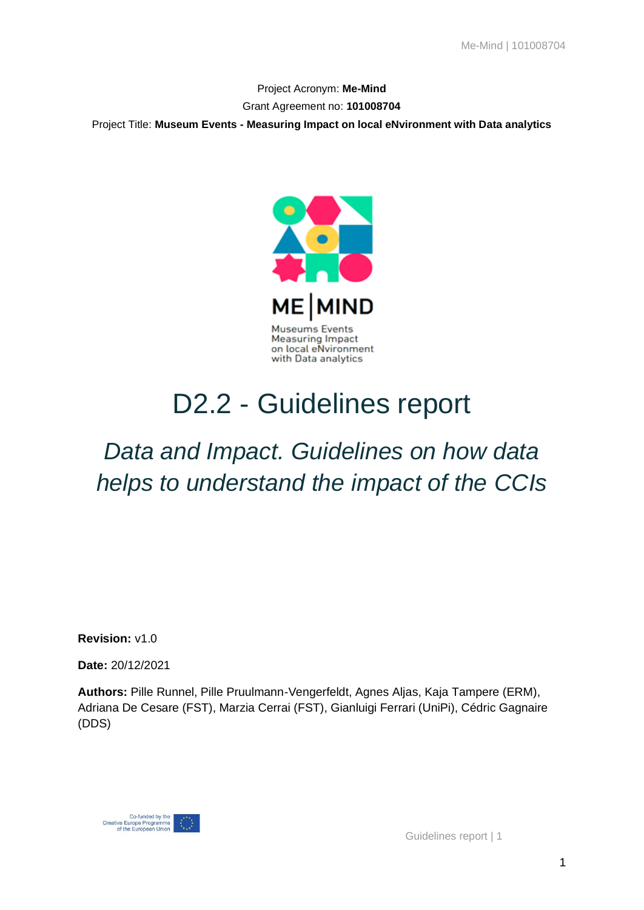Project Acronym: **Me-Mind** Grant Agreement no: **101008704** Project Title: **Museum Events - Measuring Impact on local eNvironment with Data analytics**



# D2.2 - Guidelines report

# *Data and Impact. Guidelines on how data helps to understand the impact of the CCIs*

**Revision:** v1.0

**Date:** 20/12/2021

**Authors:** Pille Runnel, Pille Pruulmann-Vengerfeldt, Agnes Aljas, Kaja Tampere (ERM), Adriana De Cesare (FST), Marzia Cerrai (FST), Gianluigi Ferrari (UniPi), Cédric Gagnaire (DDS)

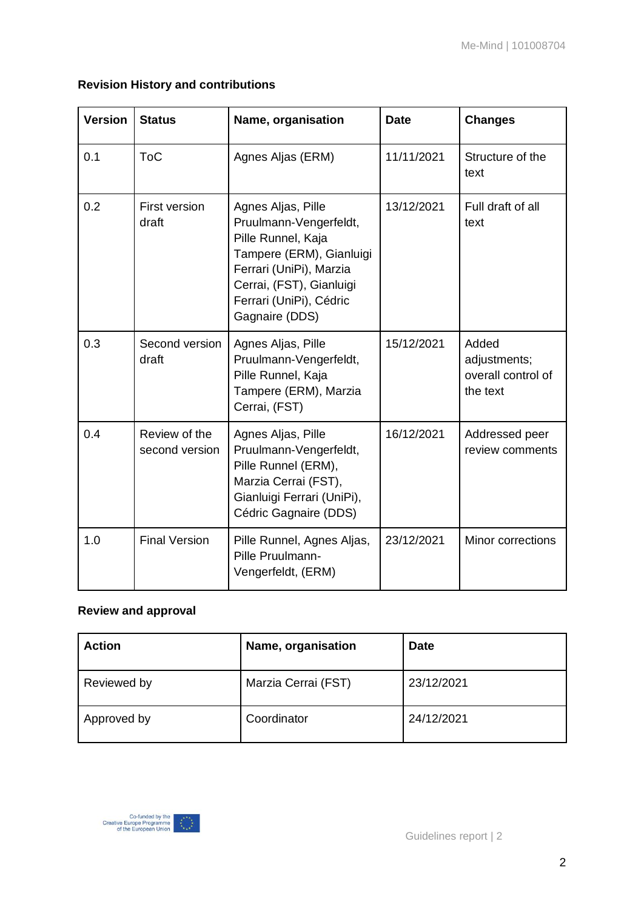| <b>Version</b> | <b>Status</b>                   | Name, organisation                                                                                                                                                                                 | <b>Date</b> | <b>Changes</b>                                          |
|----------------|---------------------------------|----------------------------------------------------------------------------------------------------------------------------------------------------------------------------------------------------|-------------|---------------------------------------------------------|
| 0.1            | <b>ToC</b>                      | Agnes Aljas (ERM)                                                                                                                                                                                  | 11/11/2021  | Structure of the<br>text                                |
| 0.2            | <b>First version</b><br>draft   | Agnes Aljas, Pille<br>Pruulmann-Vengerfeldt,<br>Pille Runnel, Kaja<br>Tampere (ERM), Gianluigi<br>Ferrari (UniPi), Marzia<br>Cerrai, (FST), Gianluigi<br>Ferrari (UniPi), Cédric<br>Gagnaire (DDS) | 13/12/2021  | Full draft of all<br>text                               |
| 0.3            | Second version<br>draft         | Agnes Aljas, Pille<br>Pruulmann-Vengerfeldt,<br>Pille Runnel, Kaja<br>Tampere (ERM), Marzia<br>Cerrai, (FST)                                                                                       | 15/12/2021  | Added<br>adjustments;<br>overall control of<br>the text |
| 0.4            | Review of the<br>second version | Agnes Aljas, Pille<br>Pruulmann-Vengerfeldt,<br>Pille Runnel (ERM),<br>Marzia Cerrai (FST),<br>Gianluigi Ferrari (UniPi),<br>Cédric Gagnaire (DDS)                                                 | 16/12/2021  | Addressed peer<br>review comments                       |
| 1.0            | <b>Final Version</b>            | Pille Runnel, Agnes Aljas,<br>Pille Pruulmann-<br>Vengerfeldt, (ERM)                                                                                                                               | 23/12/2021  | Minor corrections                                       |

### **Revision History and contributions**

### **Review and approval**

| <b>Action</b> | Name, organisation  | <b>Date</b> |
|---------------|---------------------|-------------|
| Reviewed by   | Marzia Cerrai (FST) | 23/12/2021  |
| Approved by   | Coordinator         | 24/12/2021  |

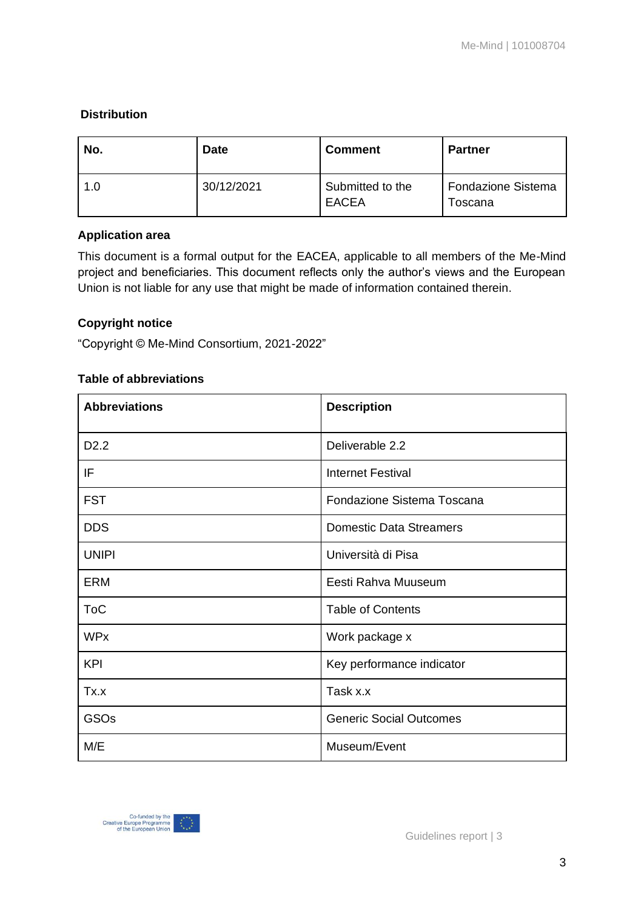### **Distribution**

| No. | <b>Date</b> | <b>Comment</b>                   | <b>Partner</b>                       |
|-----|-------------|----------------------------------|--------------------------------------|
| 1.0 | 30/12/2021  | Submitted to the<br><b>EACEA</b> | <b>Fondazione Sistema</b><br>Toscana |

### **Application area**

This document is a formal output for the EACEA, applicable to all members of the Me-Mind project and beneficiaries. This document reflects only the author's views and the European Union is not liable for any use that might be made of information contained therein.

### **Copyright notice**

"Copyright © Me-Mind Consortium, 2021-2022"

#### **Table of abbreviations**

| <b>Abbreviations</b> | <b>Description</b>             |
|----------------------|--------------------------------|
| D <sub>2.2</sub>     | Deliverable 2.2                |
| IF                   | <b>Internet Festival</b>       |
| <b>FST</b>           | Fondazione Sistema Toscana     |
| <b>DDS</b>           | <b>Domestic Data Streamers</b> |
| <b>UNIPI</b>         | Università di Pisa             |
| <b>ERM</b>           | Eesti Rahva Muuseum            |
| <b>ToC</b>           | <b>Table of Contents</b>       |
| <b>WPx</b>           | Work package x                 |
| <b>KPI</b>           | Key performance indicator      |
| Tx.x                 | Task x.x                       |
| <b>GSOs</b>          | <b>Generic Social Outcomes</b> |
| M/E                  | Museum/Event                   |

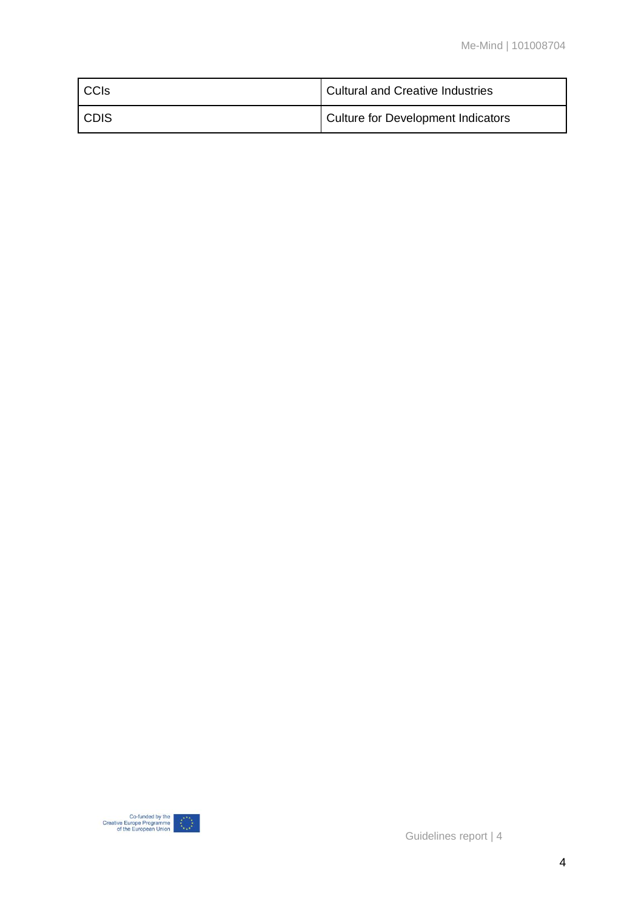| <b>CCIS</b> | <b>Cultural and Creative Industries</b> |
|-------------|-----------------------------------------|
| CDIS        | Culture for Development Indicators      |

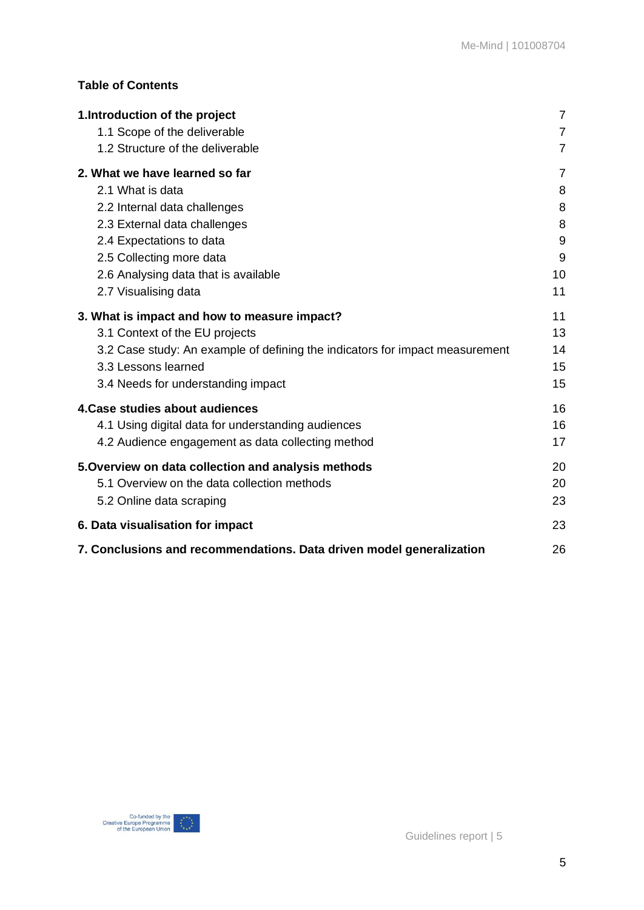### **Table of Contents**

| 1. Introduction of the project                                               | $\overline{7}$ |
|------------------------------------------------------------------------------|----------------|
| 1.1 Scope of the deliverable                                                 | $\overline{7}$ |
| 1.2 Structure of the deliverable                                             | $\overline{7}$ |
| 2. What we have learned so far                                               | 7              |
| 2.1 What is data                                                             | 8              |
| 2.2 Internal data challenges                                                 | 8              |
| 2.3 External data challenges                                                 | 8              |
| 2.4 Expectations to data                                                     | 9              |
| 2.5 Collecting more data                                                     | 9              |
| 2.6 Analysing data that is available                                         | 10             |
| 2.7 Visualising data                                                         | 11             |
| 3. What is impact and how to measure impact?                                 | 11             |
| 3.1 Context of the EU projects                                               | 13             |
| 3.2 Case study: An example of defining the indicators for impact measurement | 14             |
| 3.3 Lessons learned                                                          | 15             |
| 3.4 Needs for understanding impact                                           | 15             |
| 4. Case studies about audiences                                              | 16             |
| 4.1 Using digital data for understanding audiences                           | 16             |
| 4.2 Audience engagement as data collecting method                            | 17             |
| 5. Overview on data collection and analysis methods                          | 20             |
| 5.1 Overview on the data collection methods                                  | 20             |
| 5.2 Online data scraping                                                     | 23             |
| 6. Data visualisation for impact                                             | 23             |
| 7. Conclusions and recommendations. Data driven model generalization         | 26             |

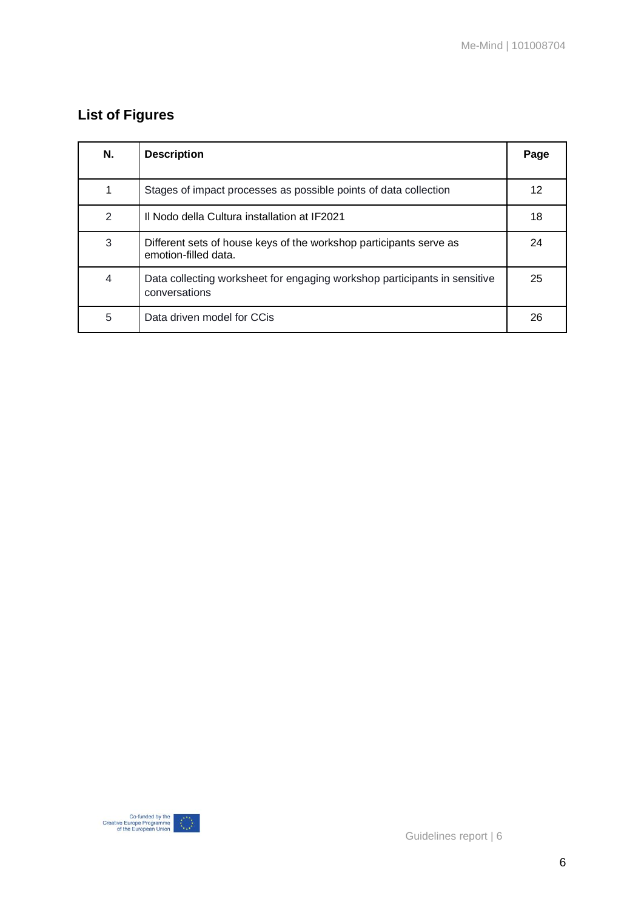### **List of Figures**

| N. | <b>Description</b>                                                                         | Page |
|----|--------------------------------------------------------------------------------------------|------|
|    | Stages of impact processes as possible points of data collection                           | 12   |
| 2  | Il Nodo della Cultura installation at IF2021                                               | 18   |
| 3  | Different sets of house keys of the workshop participants serve as<br>emotion-filled data. | 24   |
| 4  | Data collecting worksheet for engaging workshop participants in sensitive<br>conversations | 25   |
| 5  | Data driven model for CCis                                                                 | 26   |

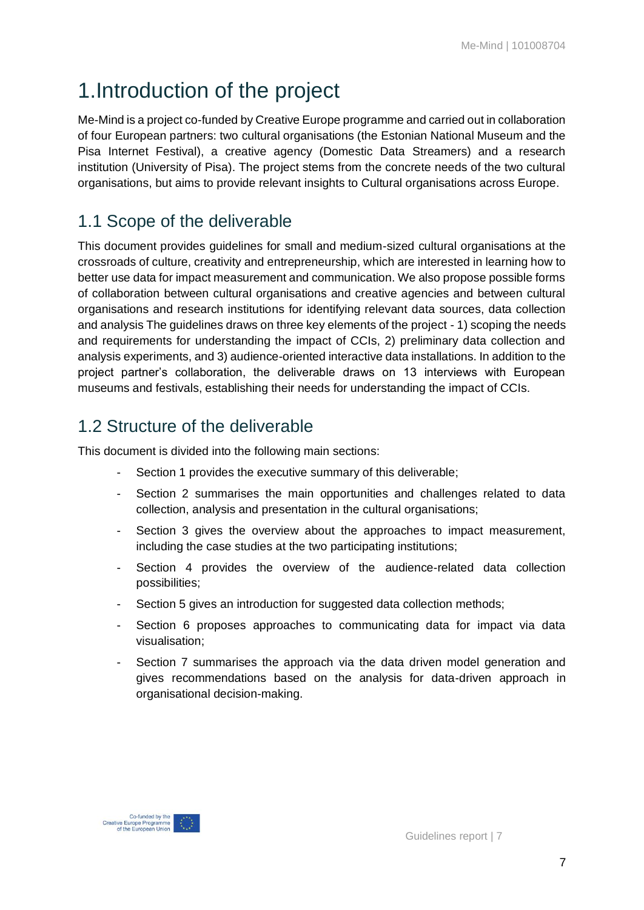# <span id="page-6-0"></span>1.Introduction of the project

Me-Mind is a project co-funded by Creative Europe programme and carried out in collaboration of four European partners: two cultural organisations (the Estonian National Museum and the Pisa Internet Festival), a creative agency (Domestic Data Streamers) and a research institution (University of Pisa). The project stems from the concrete needs of the two cultural organisations, but aims to provide relevant insights to Cultural organisations across Europe.

### <span id="page-6-1"></span>1.1 Scope of the deliverable

This document provides guidelines for small and medium-sized cultural organisations at the crossroads of culture, creativity and entrepreneurship, which are interested in learning how to better use data for impact measurement and communication. We also propose possible forms of collaboration between cultural organisations and creative agencies and between cultural organisations and research institutions for identifying relevant data sources, data collection and analysis The guidelines draws on three key elements of the project - 1) scoping the needs and requirements for understanding the impact of CCIs, 2) preliminary data collection and analysis experiments, and 3) audience-oriented interactive data installations. In addition to the project partner's collaboration, the deliverable draws on 13 interviews with European museums and festivals, establishing their needs for understanding the impact of CCIs.

### <span id="page-6-2"></span>1.2 Structure of the deliverable

This document is divided into the following main sections:

- Section 1 provides the executive summary of this deliverable;
- Section 2 summarises the main opportunities and challenges related to data collection, analysis and presentation in the cultural organisations;
- Section 3 gives the overview about the approaches to impact measurement, including the case studies at the two participating institutions;
- Section 4 provides the overview of the audience-related data collection possibilities;
- Section 5 gives an introduction for suggested data collection methods;
- Section 6 proposes approaches to communicating data for impact via data visualisation;
- <span id="page-6-3"></span>Section 7 summarises the approach via the data driven model generation and gives recommendations based on the analysis for data-driven approach in organisational decision-making.



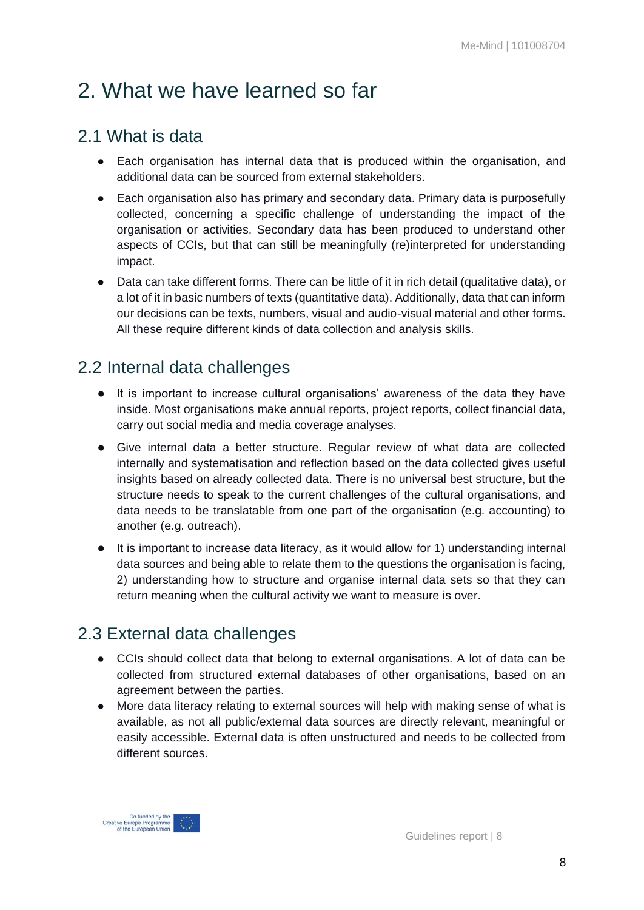# 2. What we have learned so far

### <span id="page-7-0"></span>2.1 What is data

- Each organisation has internal data that is produced within the organisation, and additional data can be sourced from external stakeholders.
- Each organisation also has primary and secondary data. Primary data is purposefully collected, concerning a specific challenge of understanding the impact of the organisation or activities. Secondary data has been produced to understand other aspects of CCIs, but that can still be meaningfully (re)interpreted for understanding impact.
- Data can take different forms. There can be little of it in rich detail (qualitative data), or a lot of it in basic numbers of texts (quantitative data). Additionally, data that can inform our decisions can be texts, numbers, visual and audio-visual material and other forms. All these require different kinds of data collection and analysis skills.

### <span id="page-7-1"></span>2.2 Internal data challenges

- It is important to increase cultural organisations' awareness of the data they have inside. Most organisations make annual reports, project reports, collect financial data, carry out social media and media coverage analyses.
- Give internal data a better structure. Regular review of what data are collected internally and systematisation and reflection based on the data collected gives useful insights based on already collected data. There is no universal best structure, but the structure needs to speak to the current challenges of the cultural organisations, and data needs to be translatable from one part of the organisation (e.g. accounting) to another (e.g. outreach).
- It is important to increase data literacy, as it would allow for 1) understanding internal data sources and being able to relate them to the questions the organisation is facing, 2) understanding how to structure and organise internal data sets so that they can return meaning when the cultural activity we want to measure is over.

### <span id="page-7-2"></span>2.3 External data challenges

- CCIs should collect data that belong to external organisations. A lot of data can be collected from structured external databases of other organisations, based on an agreement between the parties.
- More data literacy relating to external sources will help with making sense of what is available, as not all public/external data sources are directly relevant, meaningful or easily accessible. External data is often unstructured and needs to be collected from different sources.

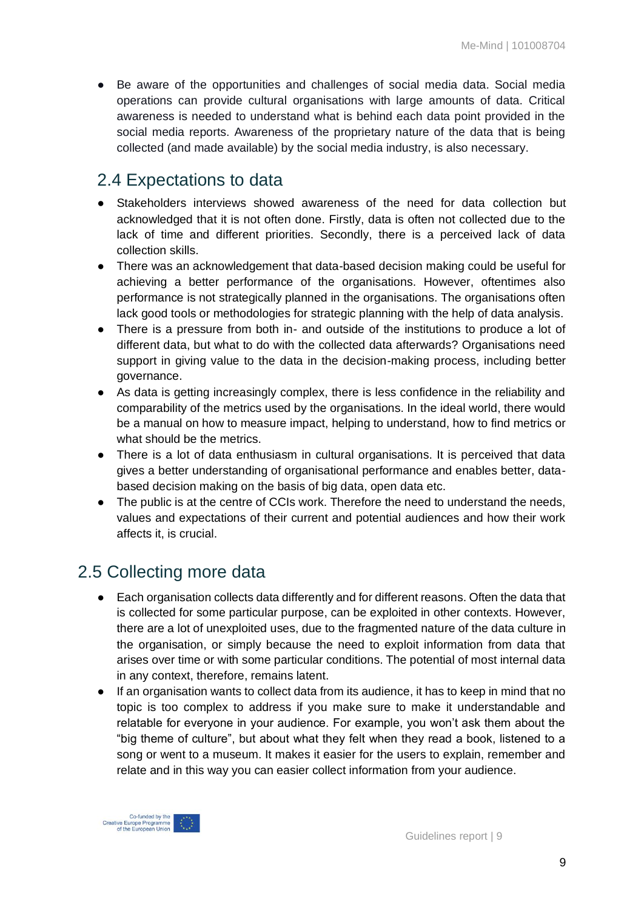● Be aware of the opportunities and challenges of social media data. Social media operations can provide cultural organisations with large amounts of data. Critical awareness is needed to understand what is behind each data point provided in the social media reports. Awareness of the proprietary nature of the data that is being collected (and made available) by the social media industry, is also necessary.

### <span id="page-8-0"></span>2.4 Expectations to data

- Stakeholders interviews showed awareness of the need for data collection but acknowledged that it is not often done. Firstly, data is often not collected due to the lack of time and different priorities. Secondly, there is a perceived lack of data collection skills.
- There was an acknowledgement that data-based decision making could be useful for achieving a better performance of the organisations. However, oftentimes also performance is not strategically planned in the organisations. The organisations often lack good tools or methodologies for strategic planning with the help of data analysis.
- There is a pressure from both in- and outside of the institutions to produce a lot of different data, but what to do with the collected data afterwards? Organisations need support in giving value to the data in the decision-making process, including better governance.
- As data is getting increasingly complex, there is less confidence in the reliability and comparability of the metrics used by the organisations. In the ideal world, there would be a manual on how to measure impact, helping to understand, how to find metrics or what should be the metrics.
- There is a lot of data enthusiasm in cultural organisations. It is perceived that data gives a better understanding of organisational performance and enables better, databased decision making on the basis of big data, open data etc.
- The public is at the centre of CCIs work. Therefore the need to understand the needs, values and expectations of their current and potential audiences and how their work affects it, is crucial.

### <span id="page-8-1"></span>2.5 Collecting more data

- Each organisation collects data differently and for different reasons. Often the data that is collected for some particular purpose, can be exploited in other contexts. However, there are a lot of unexploited uses, due to the fragmented nature of the data culture in the organisation, or simply because the need to exploit information from data that arises over time or with some particular conditions. The potential of most internal data in any context, therefore, remains latent.
- If an organisation wants to collect data from its audience, it has to keep in mind that no topic is too complex to address if you make sure to make it understandable and relatable for everyone in your audience. For example, you won't ask them about the "big theme of culture", but about what they felt when they read a book, listened to a song or went to a museum. It makes it easier for the users to explain, remember and relate and in this way you can easier collect information from your audience.

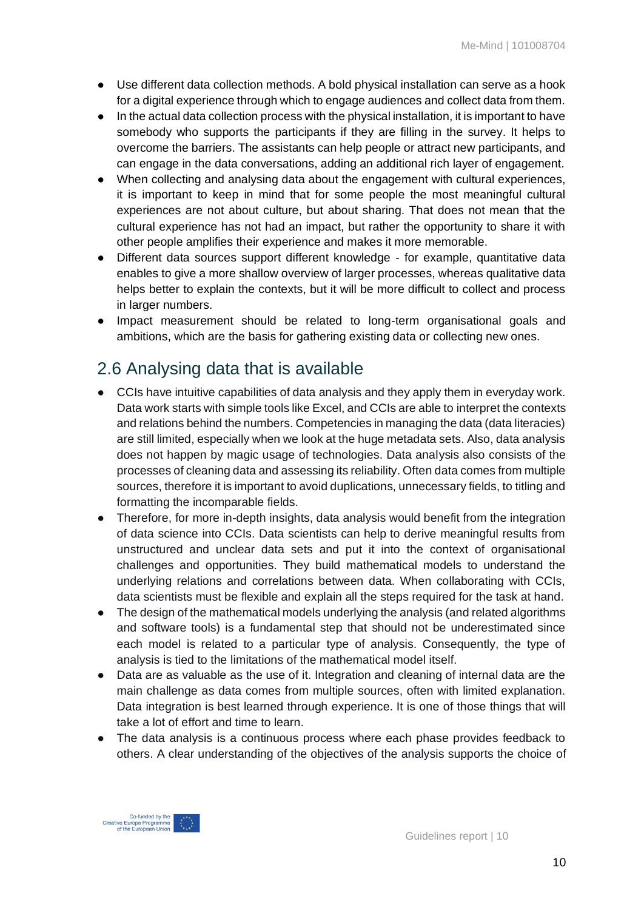- Use different data collection methods. A bold physical installation can serve as a hook for a digital experience through which to engage audiences and collect data from them.
- In the actual data collection process with the physical installation, it is important to have somebody who supports the participants if they are filling in the survey. It helps to overcome the barriers. The assistants can help people or attract new participants, and can engage in the data conversations, adding an additional rich layer of engagement.
- When collecting and analysing data about the engagement with cultural experiences, it is important to keep in mind that for some people the most meaningful cultural experiences are not about culture, but about sharing. That does not mean that the cultural experience has not had an impact, but rather the opportunity to share it with other people amplifies their experience and makes it more memorable.
- Different data sources support different knowledge for example, quantitative data enables to give a more shallow overview of larger processes, whereas qualitative data helps better to explain the contexts, but it will be more difficult to collect and process in larger numbers.
- Impact measurement should be related to long-term organisational goals and ambitions, which are the basis for gathering existing data or collecting new ones.

### <span id="page-9-0"></span>2.6 Analysing data that is available

- CCIs have intuitive capabilities of data analysis and they apply them in everyday work. Data work starts with simple tools like Excel, and CCIs are able to interpret the contexts and relations behind the numbers. Competencies in managing the data (data literacies) are still limited, especially when we look at the huge metadata sets. Also, data analysis does not happen by magic usage of technologies. Data analysis also consists of the processes of cleaning data and assessing its reliability. Often data comes from multiple sources, therefore it is important to avoid duplications, unnecessary fields, to titling and formatting the incomparable fields.
- Therefore, for more in-depth insights, data analysis would benefit from the integration of data science into CCIs. Data scientists can help to derive meaningful results from unstructured and unclear data sets and put it into the context of organisational challenges and opportunities. They build mathematical models to understand the underlying relations and correlations between data. When collaborating with CCIs, data scientists must be flexible and explain all the steps required for the task at hand.
- The design of the mathematical models underlying the analysis (and related algorithms and software tools) is a fundamental step that should not be underestimated since each model is related to a particular type of analysis. Consequently, the type of analysis is tied to the limitations of the mathematical model itself.
- Data are as valuable as the use of it. Integration and cleaning of internal data are the main challenge as data comes from multiple sources, often with limited explanation. Data integration is best learned through experience. It is one of those things that will take a lot of effort and time to learn.
- The data analysis is a continuous process where each phase provides feedback to others. A clear understanding of the objectives of the analysis supports the choice of

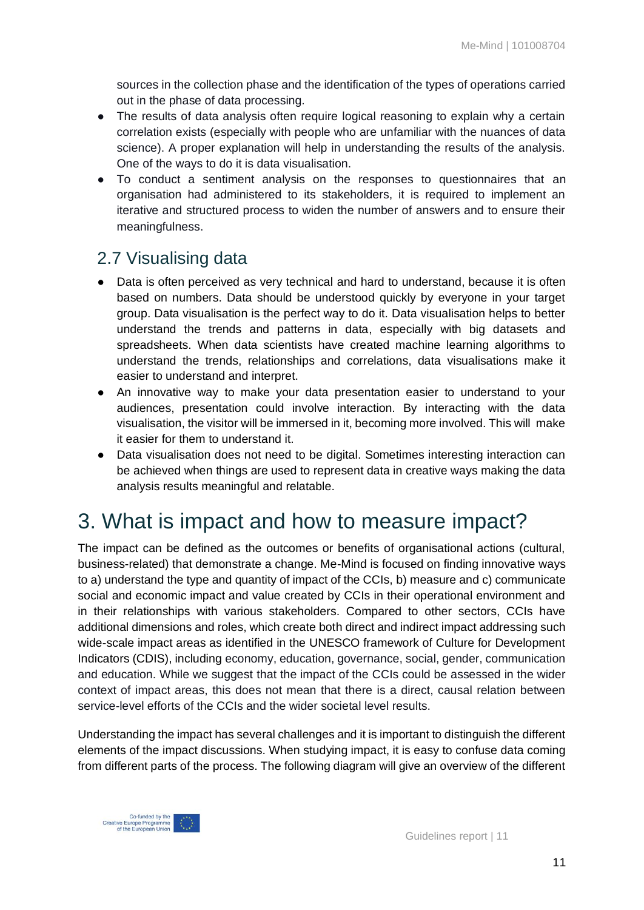sources in the collection phase and the identification of the types of operations carried out in the phase of data processing.

- The results of data analysis often require logical reasoning to explain why a certain correlation exists (especially with people who are unfamiliar with the nuances of data science). A proper explanation will help in understanding the results of the analysis. One of the ways to do it is data visualisation.
- To conduct a sentiment analysis on the responses to questionnaires that an organisation had administered to its stakeholders, it is required to implement an iterative and structured process to widen the number of answers and to ensure their meaningfulness.

### <span id="page-10-0"></span>2.7 Visualising data

- Data is often perceived as very technical and hard to understand, because it is often based on numbers. Data should be understood quickly by everyone in your target group. Data visualisation is the perfect way to do it. Data visualisation helps to better understand the trends and patterns in data, especially with big datasets and spreadsheets. When data scientists have created machine learning algorithms to understand the trends, relationships and correlations, data visualisations make it easier to understand and interpret.
- An innovative way to make your data presentation easier to understand to your audiences, presentation could involve interaction. By interacting with the data visualisation, the visitor will be immersed in it, becoming more involved. This will make it easier for them to understand it.
- Data visualisation does not need to be digital. Sometimes interesting interaction can be achieved when things are used to represent data in creative ways making the data analysis results meaningful and relatable.

# <span id="page-10-1"></span>3. What is impact and how to measure impact?

The impact can be defined as the outcomes or benefits of organisational actions (cultural, business-related) that demonstrate a change. Me-Mind is focused on finding innovative ways to a) understand the type and quantity of impact of the CCIs, b) measure and c) communicate social and economic impact and value created by CCIs in their operational environment and in their relationships with various stakeholders. Compared to other sectors, CCIs have additional dimensions and roles, which create both direct and indirect impact addressing such wide-scale impact areas as identified in the UNESCO framework of Culture for Development Indicators (CDIS), including economy, education, governance, social, gender, communication and education. While we suggest that the impact of the CCIs could be assessed in the wider context of impact areas, this does not mean that there is a direct, causal relation between service-level efforts of the CCIs and the wider societal level results.

Understanding the impact has several challenges and it is important to distinguish the different elements of the impact discussions. When studying impact, it is easy to confuse data coming from different parts of the process. The following diagram will give an overview of the different

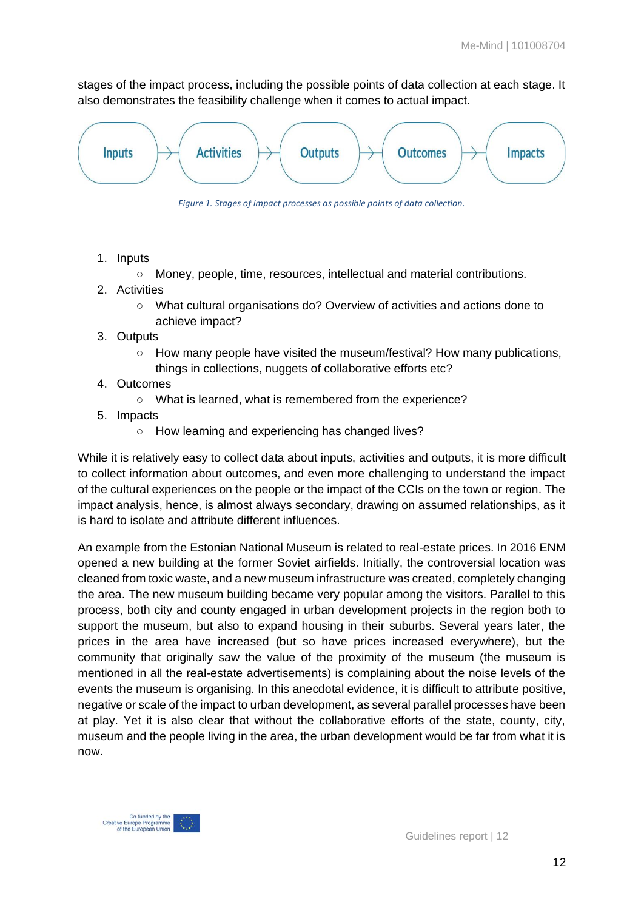stages of the impact process, including the possible points of data collection at each stage. It also demonstrates the feasibility challenge when it comes to actual impact.



*Figure 1. Stages of impact processes as possible points of data collection.*

- 1. Inputs
	- Money, people, time, resources, intellectual and material contributions.
- 2. Activities
	- What cultural organisations do? Overview of activities and actions done to achieve impact?
- 3. Outputs
	- How many people have visited the museum/festival? How many publications, things in collections, nuggets of collaborative efforts etc?
- 4. Outcomes
	- What is learned, what is remembered from the experience?
- 5. Impacts
	- How learning and experiencing has changed lives?

While it is relatively easy to collect data about inputs, activities and outputs, it is more difficult to collect information about outcomes, and even more challenging to understand the impact of the cultural experiences on the people or the impact of the CCIs on the town or region. The impact analysis, hence, is almost always secondary, drawing on assumed relationships, as it is hard to isolate and attribute different influences.

An example from the Estonian National Museum is related to real-estate prices. In 2016 ENM opened a new building at the former Soviet airfields. Initially, the controversial location was cleaned from toxic waste, and a new museum infrastructure was created, completely changing the area. The new museum building became very popular among the visitors. Parallel to this process, both city and county engaged in urban development projects in the region both to support the museum, but also to expand housing in their suburbs. Several years later, the prices in the area have increased (but so have prices increased everywhere), but the community that originally saw the value of the proximity of the museum (the museum is mentioned in all the real-estate advertisements) is complaining about the noise levels of the events the museum is organising. In this anecdotal evidence, it is difficult to attribute positive, negative or scale of the impact to urban development, as several parallel processes have been at play. Yet it is also clear that without the collaborative efforts of the state, county, city, museum and the people living in the area, the urban development would be far from what it is now.

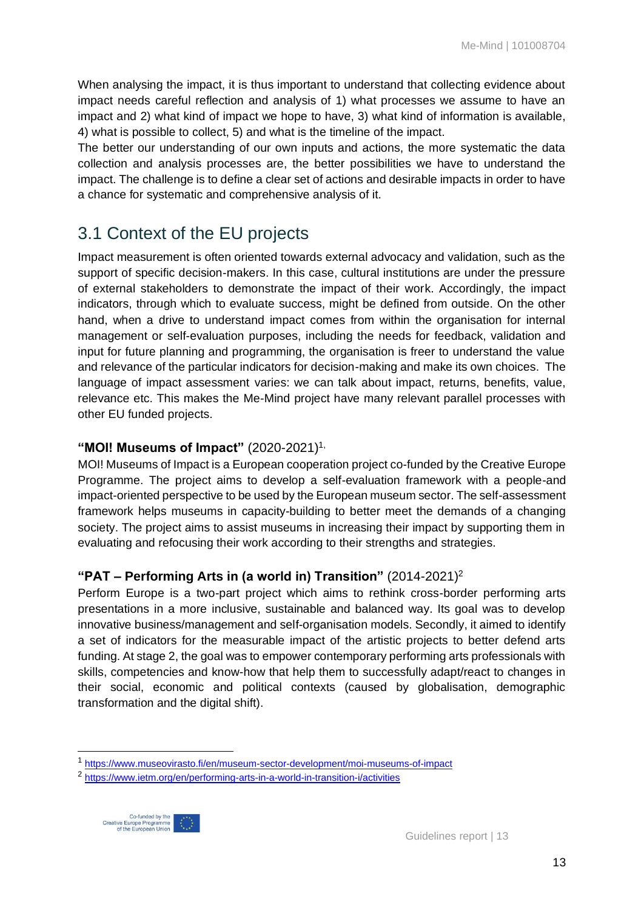When analysing the impact, it is thus important to understand that collecting evidence about impact needs careful reflection and analysis of 1) what processes we assume to have an impact and 2) what kind of impact we hope to have, 3) what kind of information is available, 4) what is possible to collect, 5) and what is the timeline of the impact.

The better our understanding of our own inputs and actions, the more systematic the data collection and analysis processes are, the better possibilities we have to understand the impact. The challenge is to define a clear set of actions and desirable impacts in order to have a chance for systematic and comprehensive analysis of it.

### <span id="page-12-0"></span>3.1 Context of the EU projects

Impact measurement is often oriented towards external advocacy and validation, such as the support of specific decision-makers. In this case, cultural institutions are under the pressure of external stakeholders to demonstrate the impact of their work. Accordingly, the impact indicators, through which to evaluate success, might be defined from outside. On the other hand, when a drive to understand impact comes from within the organisation for internal management or self-evaluation purposes, including the needs for feedback, validation and input for future planning and programming, the organisation is freer to understand the value and relevance of the particular indicators for decision-making and make its own choices. The language of impact assessment varies: we can talk about impact, returns, benefits, value, relevance etc. This makes the Me-Mind project have many relevant parallel processes with other EU funded projects.

### **"MOI! Museums of Impact"** (2020-2021)1,

MOI! Museums of Impact is a European cooperation project co-funded by the Creative Europe Programme. The project aims to develop a self-evaluation framework with a people-and impact-oriented perspective to be used by the European museum sector. The self-assessment framework helps museums in capacity-building to better meet the demands of a changing society. The project aims to assist museums in increasing their impact by supporting them in evaluating and refocusing their work according to their strengths and strategies.

### **"PAT – Performing Arts in (a world in) Transition"** (2014-2021)<sup>2</sup>

Perform Europe is a two-part project which aims to rethink cross-border performing arts presentations in a more inclusive, sustainable and balanced way. Its goal was to develop innovative business/management and self-organisation models. Secondly, it aimed to identify a set of indicators for the measurable impact of the artistic projects to better defend arts funding. At stage 2, the goal was to empower contemporary performing arts professionals with skills, competencies and know-how that help them to successfully adapt/react to changes in their social, economic and political contexts (caused by globalisation, demographic transformation and the digital shift).

<sup>&</sup>lt;sup>2</sup> <https://www.ietm.org/en/performing-arts-in-a-world-in-transition-i/activities>



<sup>1</sup> <https://www.museovirasto.fi/en/museum-sector-development/moi-museums-of-impact>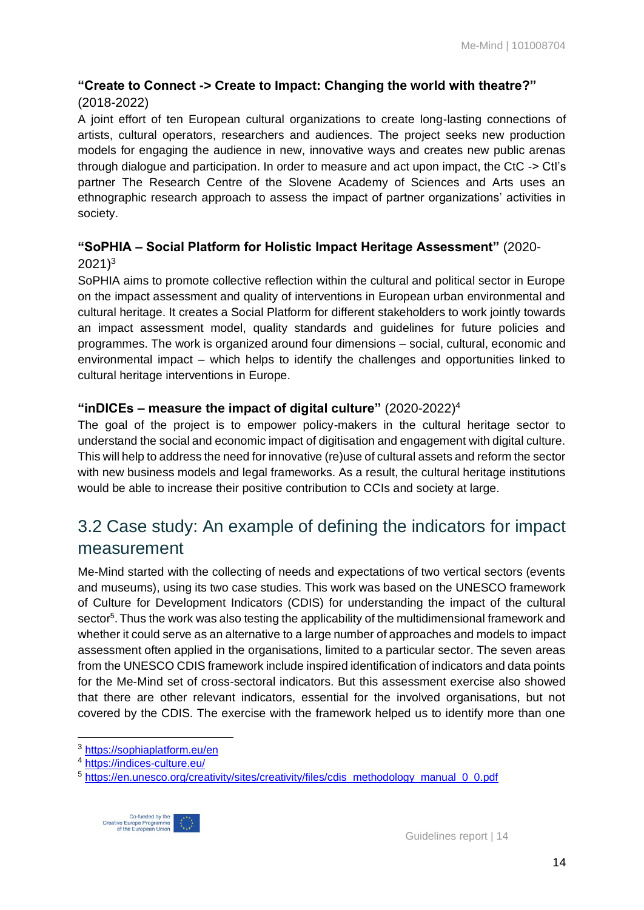### **"Create to Connect -> Create to Impact: Changing the world with theatre?"**

### (2018-2022)

A joint effort of ten European cultural organizations to create long-lasting connections of artists, cultural operators, researchers and audiences. The project seeks new production models for engaging the audience in new, innovative ways and creates new public arenas through dialogue and participation. In order to measure and act upon impact, the CtC -> CtI's partner The Research Centre of the Slovene Academy of Sciences and Arts uses an ethnographic research approach to assess the impact of partner organizations' activities in society.

### **"SoPHIA – Social Platform for Holistic Impact Heritage Assessment"** (2020-  $2021$ <sup>3</sup>

SoPHIA aims to promote collective reflection within the cultural and political sector in Europe on the impact assessment and quality of interventions in European urban environmental and cultural heritage. It creates a Social Platform for different stakeholders to work jointly towards an impact assessment model, quality standards and guidelines for future policies and programmes. The work is organized around four dimensions – social, cultural, economic and environmental impact – which helps to identify the challenges and opportunities linked to cultural heritage interventions in Europe.

### **"inDICEs – measure the impact of digital culture"** (2020-2022)<sup>4</sup>

The goal of the project is to empower policy-makers in the cultural heritage sector to understand the social and economic impact of digitisation and engagement with digital culture. This will help to address the need for innovative (re)use of cultural assets and reform the sector with new business models and legal frameworks. As a result, the cultural heritage institutions would be able to increase their positive contribution to CCIs and society at large.

### <span id="page-13-0"></span>3.2 Case study: An example of defining the indicators for impact measurement

Me-Mind started with the collecting of needs and expectations of two vertical sectors (events and museums), using its two case studies. This work was based on the UNESCO framework of Culture for Development Indicators (CDIS) for understanding the impact of the cultural sector<sup>5</sup>. Thus the work was also testing the applicability of the multidimensional framework and whether it could serve as an alternative to a large number of approaches and models to impact assessment often applied in the organisations, limited to a particular sector. The seven areas from the UNESCO CDIS framework include inspired identification of indicators and data points for the Me-Mind set of cross-sectoral indicators. But this assessment exercise also showed that there are other relevant indicators, essential for the involved organisations, but not covered by the CDIS. The exercise with the framework helped us to identify more than one

<sup>&</sup>lt;sup>5</sup> [https://en.unesco.org/creativity/sites/creativity/files/cdis\\_methodology\\_manual\\_0\\_0.pdf](https://en.unesco.org/creativity/sites/creativity/files/cdis_methodology_manual_0_0.pdf)



<sup>3</sup> <https://sophiaplatform.eu/en>

<sup>4</sup> <https://indices-culture.eu/>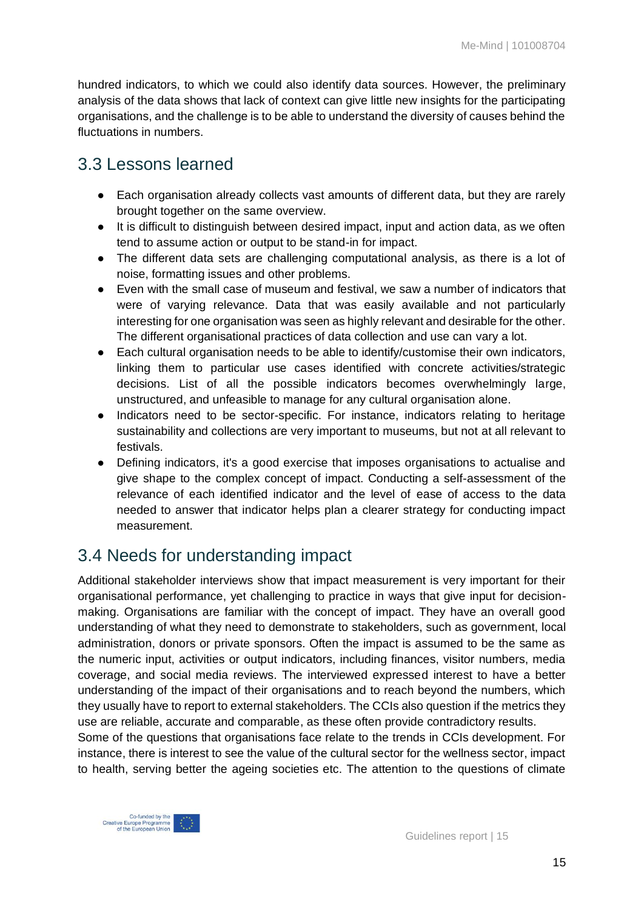hundred indicators, to which we could also identify data sources. However, the preliminary analysis of the data shows that lack of context can give little new insights for the participating organisations, and the challenge is to be able to understand the diversity of causes behind the fluctuations in numbers.

### <span id="page-14-0"></span>3.3 Lessons learned

- Each organisation already collects vast amounts of different data, but they are rarely brought together on the same overview.
- It is difficult to distinguish between desired impact, input and action data, as we often tend to assume action or output to be stand-in for impact.
- The different data sets are challenging computational analysis, as there is a lot of noise, formatting issues and other problems.
- Even with the small case of museum and festival, we saw a number of indicators that were of varying relevance. Data that was easily available and not particularly interesting for one organisation was seen as highly relevant and desirable for the other. The different organisational practices of data collection and use can vary a lot.
- Each cultural organisation needs to be able to identify/customise their own indicators, linking them to particular use cases identified with concrete activities/strategic decisions. List of all the possible indicators becomes overwhelmingly large, unstructured, and unfeasible to manage for any cultural organisation alone.
- Indicators need to be sector-specific. For instance, indicators relating to heritage sustainability and collections are very important to museums, but not at all relevant to festivals.
- Defining indicators, it's a good exercise that imposes organisations to actualise and give shape to the complex concept of impact. Conducting a self-assessment of the relevance of each identified indicator and the level of ease of access to the data needed to answer that indicator helps plan a clearer strategy for conducting impact measurement.

### <span id="page-14-1"></span>3.4 Needs for understanding impact

Additional stakeholder interviews show that impact measurement is very important for their organisational performance, yet challenging to practice in ways that give input for decisionmaking. Organisations are familiar with the concept of impact. They have an overall good understanding of what they need to demonstrate to stakeholders, such as government, local administration, donors or private sponsors. Often the impact is assumed to be the same as the numeric input, activities or output indicators, including finances, visitor numbers, media coverage, and social media reviews. The interviewed expressed interest to have a better understanding of the impact of their organisations and to reach beyond the numbers, which they usually have to report to external stakeholders. The CCIs also question if the metrics they use are reliable, accurate and comparable, as these often provide contradictory results.

Some of the questions that organisations face relate to the trends in CCIs development. For instance, there is interest to see the value of the cultural sector for the wellness sector, impact to health, serving better the ageing societies etc. The attention to the questions of climate

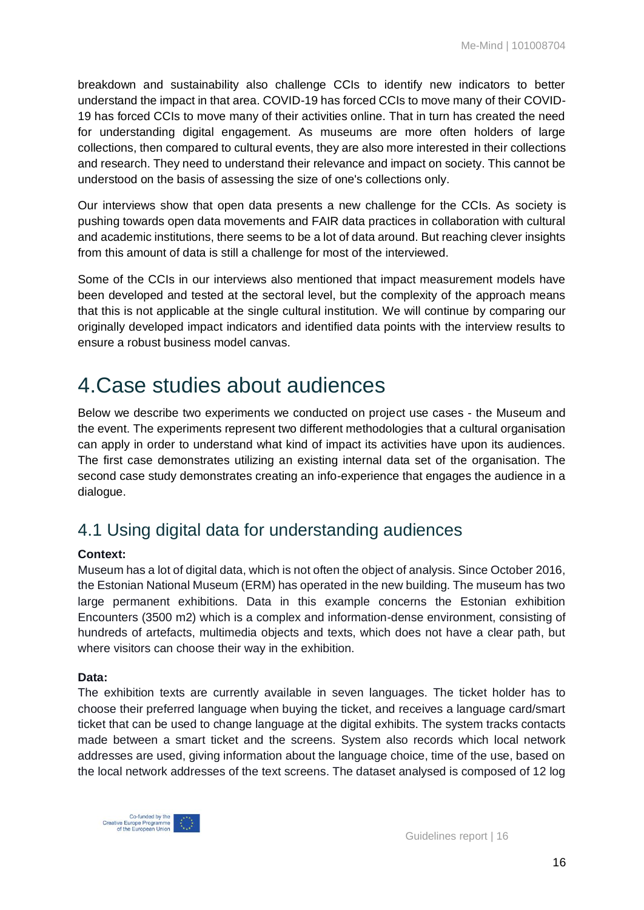breakdown and sustainability also challenge CCIs to identify new indicators to better understand the impact in that area. COVID-19 has forced CCIs to move many of their COVID-19 has forced CCIs to move many of their activities online. That in turn has created the need for understanding digital engagement. As museums are more often holders of large collections, then compared to cultural events, they are also more interested in their collections and research. They need to understand their relevance and impact on society. This cannot be understood on the basis of assessing the size of one's collections only.

Our interviews show that open data presents a new challenge for the CCIs. As society is pushing towards open data movements and FAIR data practices in collaboration with cultural and academic institutions, there seems to be a lot of data around. But reaching clever insights from this amount of data is still a challenge for most of the interviewed.

Some of the CCIs in our interviews also mentioned that impact measurement models have been developed and tested at the sectoral level, but the complexity of the approach means that this is not applicable at the single cultural institution. We will continue by comparing our originally developed impact indicators and identified data points with the interview results to ensure a robust business model canvas.

# <span id="page-15-0"></span>4.Case studies about audiences

Below we describe two experiments we conducted on project use cases - the Museum and the event. The experiments represent two different methodologies that a cultural organisation can apply in order to understand what kind of impact its activities have upon its audiences. The first case demonstrates utilizing an existing internal data set of the organisation. The second case study demonstrates creating an info-experience that engages the audience in a dialogue.

### <span id="page-15-1"></span>4.1 Using digital data for understanding audiences

#### **Context:**

Museum has a lot of digital data, which is not often the object of analysis. Since October 2016, the Estonian National Museum (ERM) has operated in the new building. The museum has two large permanent exhibitions. Data in this example concerns the Estonian exhibition Encounters (3500 m2) which is a complex and information-dense environment, consisting of hundreds of artefacts, multimedia objects and texts, which does not have a clear path, but where visitors can choose their way in the exhibition.

#### **Data:**

The exhibition texts are currently available in seven languages. The ticket holder has to choose their preferred language when buying the ticket, and receives a language card/smart ticket that can be used to change language at the digital exhibits. The system tracks contacts made between a smart ticket and the screens. System also records which local network addresses are used, giving information about the language choice, time of the use, based on the local network addresses of the text screens. The dataset analysed is composed of 12 log

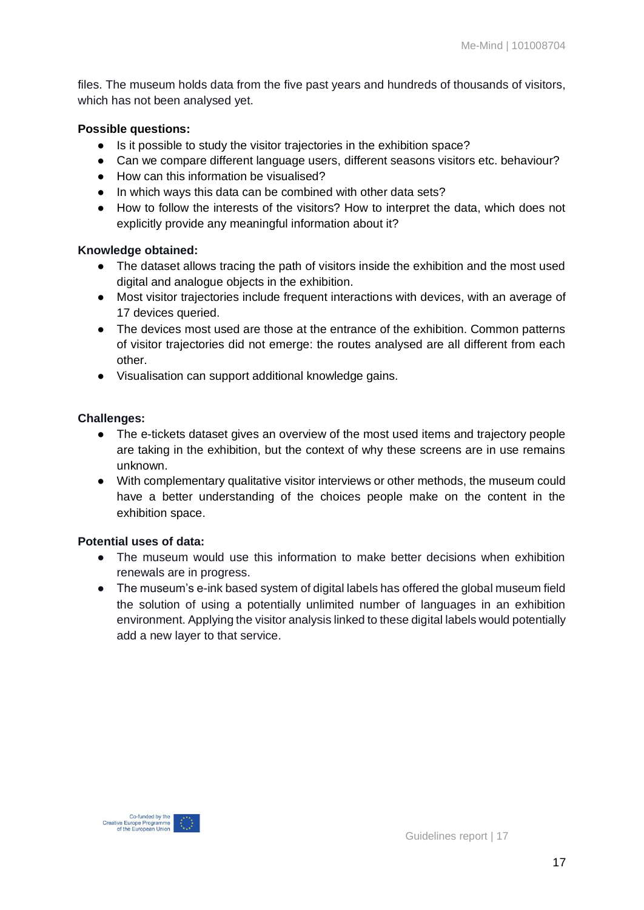files. The museum holds data from the five past years and hundreds of thousands of visitors, which has not been analysed yet.

#### **Possible questions:**

- Is it possible to study the visitor trajectories in the exhibition space?
- Can we compare different language users, different seasons visitors etc. behaviour?
- How can this information be visualised?
- In which ways this data can be combined with other data sets?
- How to follow the interests of the visitors? How to interpret the data, which does not explicitly provide any meaningful information about it?

#### **Knowledge obtained:**

- The dataset allows tracing the path of visitors inside the exhibition and the most used digital and analogue objects in the exhibition.
- Most visitor trajectories include frequent interactions with devices, with an average of 17 devices queried.
- The devices most used are those at the entrance of the exhibition. Common patterns of visitor trajectories did not emerge: the routes analysed are all different from each other.
- Visualisation can support additional knowledge gains.

#### **Challenges:**

- The e-tickets dataset gives an overview of the most used items and trajectory people are taking in the exhibition, but the context of why these screens are in use remains unknown.
- With complementary qualitative visitor interviews or other methods, the museum could have a better understanding of the choices people make on the content in the exhibition space.

#### **Potential uses of data:**

- The museum would use this information to make better decisions when exhibition renewals are in progress.
- <span id="page-16-0"></span>● The museum's e-ink based system of digital labels has offered the global museum field the solution of using a potentially unlimited number of languages in an exhibition environment. Applying the visitor analysis linked to these digital labels would potentially add a new layer to that service.



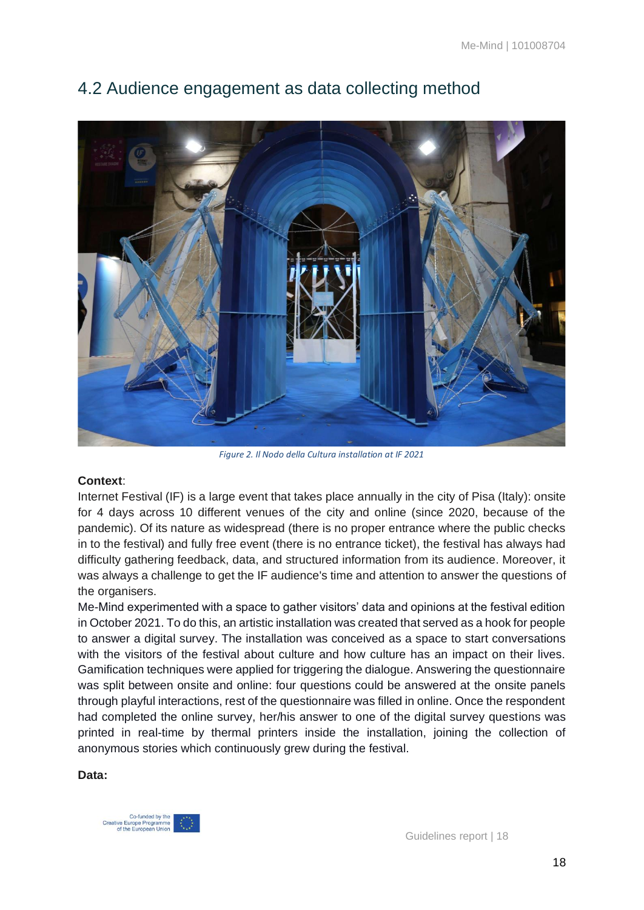

### 4.2 Audience engagement as data collecting method

*Figure 2. Il Nodo della Cultura installation at IF 2021*

#### **Context**:

Internet Festival (IF) is a large event that takes place annually in the city of Pisa (Italy): onsite for 4 days across 10 different venues of the city and online (since 2020, because of the pandemic). Of its nature as widespread (there is no proper entrance where the public checks in to the festival) and fully free event (there is no entrance ticket), the festival has always had difficulty gathering feedback, data, and structured information from its audience. Moreover, it was always a challenge to get the IF audience's time and attention to answer the questions of the organisers.

Me-Mind experimented with a space to gather visitors' data and opinions at the festival edition in October 2021. To do this, an artistic installation was created that served as a hook for people to answer a digital survey. The installation was conceived as a space to start conversations with the visitors of the festival about culture and how culture has an impact on their lives. Gamification techniques were applied for triggering the dialogue. Answering the questionnaire was split between onsite and online: four questions could be answered at the onsite panels through playful interactions, rest of the questionnaire was filled in online. Once the respondent had completed the online survey, her/his answer to one of the digital survey questions was printed in real-time by thermal printers inside the installation, joining the collection of anonymous stories which continuously grew during the festival.

#### **Data:**

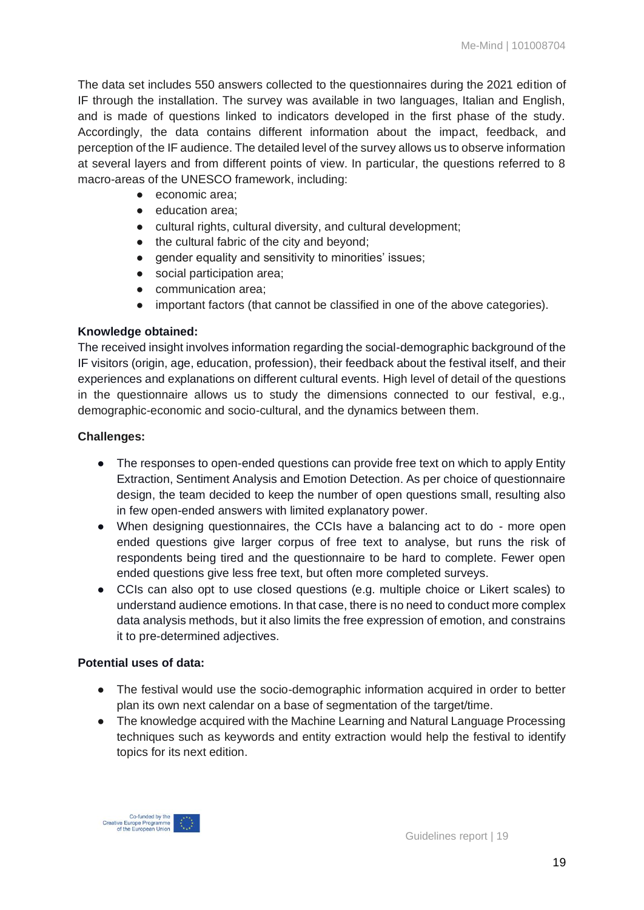The data set includes 550 answers collected to the questionnaires during the 2021 edition of IF through the installation. The survey was available in two languages, Italian and English, and is made of questions linked to indicators developed in the first phase of the study. Accordingly, the data contains different information about the impact, feedback, and perception of the IF audience. The detailed level of the survey allows us to observe information at several layers and from different points of view. In particular, the questions referred to 8 macro-areas of the UNESCO framework, including:

- economic area:
- education area:
- cultural rights, cultural diversity, and cultural development;
- the cultural fabric of the city and beyond;
- gender equality and sensitivity to minorities' issues;
- social participation area;
- communication area;
- important factors (that cannot be classified in one of the above categories).

#### **Knowledge obtained:**

The received insight involves information regarding the social-demographic background of the IF visitors (origin, age, education, profession), their feedback about the festival itself, and their experiences and explanations on different cultural events. High level of detail of the questions in the questionnaire allows us to study the dimensions connected to our festival, e.g., demographic-economic and socio-cultural, and the dynamics between them.

#### **Challenges:**

- The responses to open-ended questions can provide free text on which to apply Entity Extraction, Sentiment Analysis and Emotion Detection. As per choice of questionnaire design, the team decided to keep the number of open questions small, resulting also in few open-ended answers with limited explanatory power.
- When designing questionnaires, the CCIs have a balancing act to do more open ended questions give larger corpus of free text to analyse, but runs the risk of respondents being tired and the questionnaire to be hard to complete. Fewer open ended questions give less free text, but often more completed surveys.
- CCIs can also opt to use closed questions (e.g. multiple choice or Likert scales) to understand audience emotions. In that case, there is no need to conduct more complex data analysis methods, but it also limits the free expression of emotion, and constrains it to pre-determined adjectives.

#### **Potential uses of data:**

- The festival would use the socio-demographic information acquired in order to better plan its own next calendar on a base of segmentation of the target/time.
- The knowledge acquired with the Machine Learning and Natural Language Processing techniques such as keywords and entity extraction would help the festival to identify topics for its next edition.

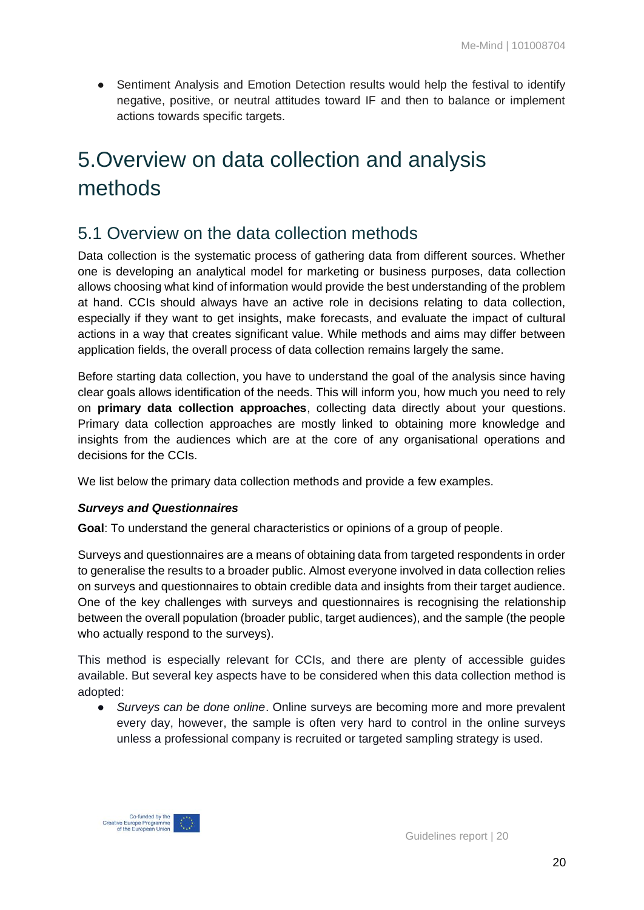• Sentiment Analysis and Emotion Detection results would help the festival to identify negative, positive, or neutral attitudes toward IF and then to balance or implement actions towards specific targets.

# <span id="page-19-0"></span>5.Overview on data collection and analysis methods

### <span id="page-19-1"></span>5.1 Overview on the data collection methods

Data collection is the systematic process of gathering data from different sources. Whether one is developing an analytical model for marketing or business purposes, data collection allows choosing what kind of information would provide the best understanding of the problem at hand. CCIs should always have an active role in decisions relating to data collection, especially if they want to get insights, make forecasts, and evaluate the impact of cultural actions in a way that creates significant value. While methods and aims may differ between application fields, the overall process of data collection remains largely the same.

Before starting data collection, you have to understand the goal of the analysis since having clear goals allows identification of the needs. This will inform you, how much you need to rely on **primary data collection approaches**, collecting data directly about your questions. Primary data collection approaches are mostly linked to obtaining more knowledge and insights from the audiences which are at the core of any organisational operations and decisions for the CCIs.

We list below the primary data collection methods and provide a few examples.

#### *Surveys and Questionnaires*

**Goal**: To understand the general characteristics or opinions of a group of people.

Surveys and questionnaires are a means of obtaining data from targeted respondents in order to generalise the results to a broader public. Almost everyone involved in data collection relies on surveys and questionnaires to obtain credible data and insights from their target audience. One of the key challenges with surveys and questionnaires is recognising the relationship between the overall population (broader public, target audiences), and the sample (the people who actually respond to the surveys).

This method is especially relevant for CCIs, and there are plenty of accessible guides available. But several key aspects have to be considered when this data collection method is adopted:

● *Surveys can be done online*. Online surveys are becoming more and more prevalent every day, however, the sample is often very hard to control in the online surveys unless a professional company is recruited or targeted sampling strategy is used.

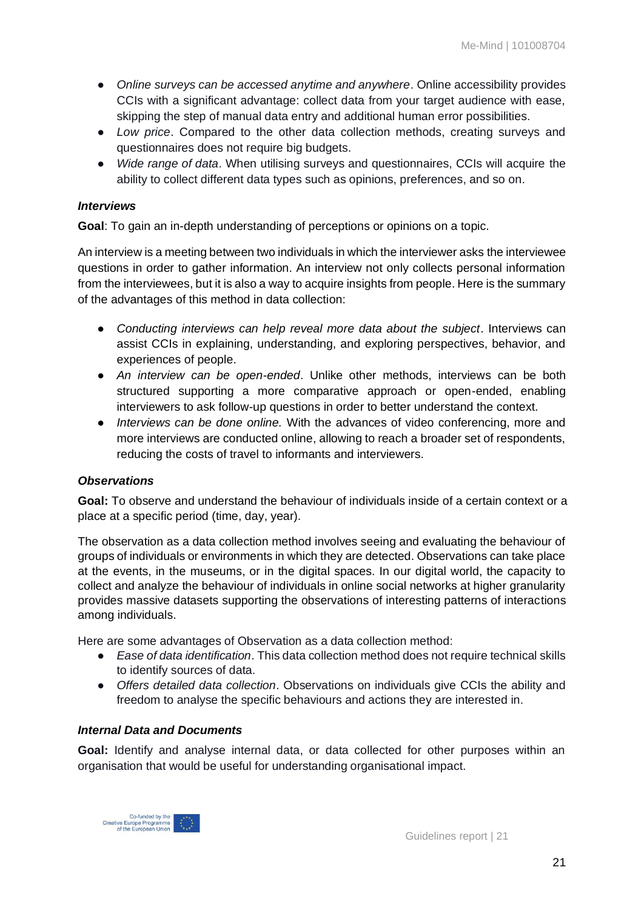- Online surveys can be accessed anytime and anywhere. Online accessibility provides CCIs with a significant advantage: collect data from your target audience with ease, skipping the step of manual data entry and additional human error possibilities.
- *Low price*. Compared to the other data collection methods, creating surveys and questionnaires does not require big budgets.
- *Wide range of data*. When utilising surveys and questionnaires, CCIs will acquire the ability to collect different data types such as opinions, preferences, and so on.

#### *Interviews*

**Goal**: To gain an in-depth understanding of perceptions or opinions on a topic.

An interview is a meeting between two individuals in which the interviewer asks the interviewee questions in order to gather information. An interview not only collects personal information from the interviewees, but it is also a way to acquire insights from people. Here is the summary of the advantages of this method in data collection:

- *Conducting interviews can help reveal more data about the subject*. Interviews can assist CCIs in explaining, understanding, and exploring perspectives, behavior, and experiences of people.
- *An interview can be open-ended*. Unlike other methods, interviews can be both structured supporting a more comparative approach or open-ended, enabling interviewers to ask follow-up questions in order to better understand the context.
- *Interviews can be done online.* With the advances of video conferencing, more and more interviews are conducted online, allowing to reach a broader set of respondents, reducing the costs of travel to informants and interviewers.

#### *Observations*

**Goal:** To observe and understand the behaviour of individuals inside of a certain context or a place at a specific period (time, day, year).

The observation as a data collection method involves seeing and evaluating the behaviour of groups of individuals or environments in which they are detected. Observations can take place at the events, in the museums, or in the digital spaces. In our digital world, the capacity to collect and analyze the behaviour of individuals in online social networks at higher granularity provides massive datasets supporting the observations of interesting patterns of interactions among individuals.

Here are some advantages of Observation as a data collection method:

- *Ease of data identification*. This data collection method does not require technical skills to identify sources of data.
- *Offers detailed data collection*. Observations on individuals give CCIs the ability and freedom to analyse the specific behaviours and actions they are interested in.

#### *Internal Data and Documents*

**Goal:** Identify and analyse internal data, or data collected for other purposes within an organisation that would be useful for understanding organisational impact.

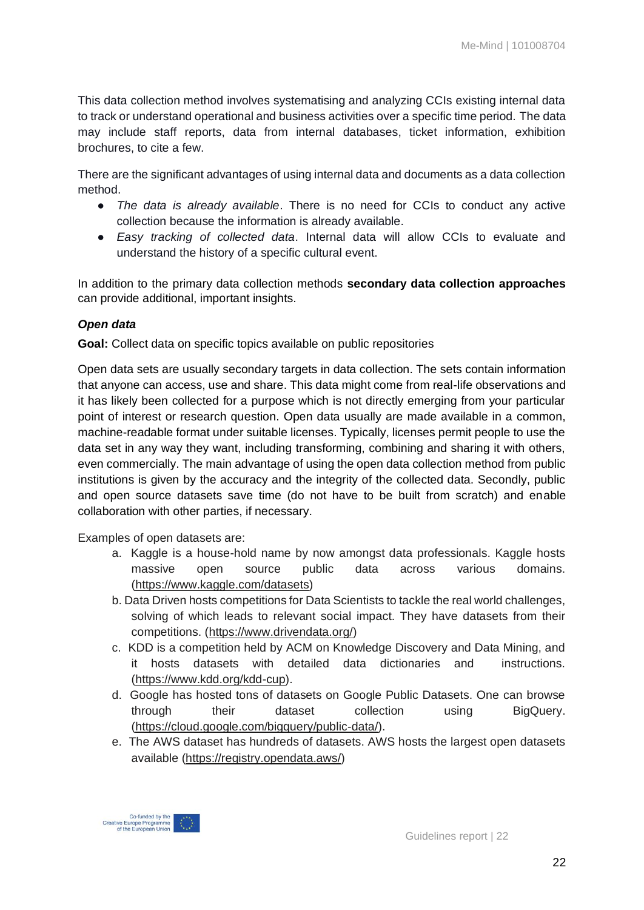This data collection method involves systematising and analyzing CCIs existing internal data to track or understand operational and business activities over a specific time period. The data may include staff reports, data from internal databases, ticket information, exhibition brochures, to cite a few.

There are the significant advantages of using internal data and documents as a data collection method.

- *The data is already available*. There is no need for CCIs to conduct any active collection because the information is already available.
- *Easy tracking of collected data*. Internal data will allow CCIs to evaluate and understand the history of a specific cultural event.

In addition to the primary data collection methods **secondary data collection approaches** can provide additional, important insights.

#### *Open data*

**Goal:** Collect data on specific topics available on public repositories

Open data sets are usually secondary targets in data collection. The sets contain information that anyone can access, use and share. This data might come from real-life observations and it has likely been collected for a purpose which is not directly emerging from your particular point of interest or research question. Open data usually are made available in a common, machine-readable format under suitable licenses. Typically, licenses permit people to use the data set in any way they want, including transforming, combining and sharing it with others, even commercially. The main advantage of using the open data collection method from public institutions is given by the accuracy and the integrity of the collected data. Secondly, public and open source datasets save time (do not have to be built from scratch) and enable collaboration with other parties, if necessary.

Examples of open datasets are:

- a. Kaggle is a house-hold name by now amongst data professionals. Kaggle hosts massive open source public data across various domains. [\(https://www.kaggle.com/datasets\)](https://www.kaggle.com/datasets)
- b. Data Driven hosts competitions for Data Scientists to tackle the real world challenges, solving of which leads to relevant social impact. They have datasets from their competitions. [\(https://www.drivendata.org/\)](https://www.drivendata.org/)
- c. KDD is a competition held by ACM on Knowledge Discovery and Data Mining, and it hosts datasets with detailed data dictionaries and instructions. [\(https://www.kdd.org/kdd-cup\)](https://www.kdd.org/kdd-cup).
- d. Google has hosted tons of datasets on Google Public Datasets. One can browse through their dataset collection using BigQuery. [\(https://cloud.google.com/bigquery/public-data/\)](https://cloud.google.com/bigquery/public-data/).
- e. The AWS dataset has hundreds of datasets. AWS hosts the largest open datasets available [\(https://registry.opendata.aws/\)](https://registry.opendata.aws/)

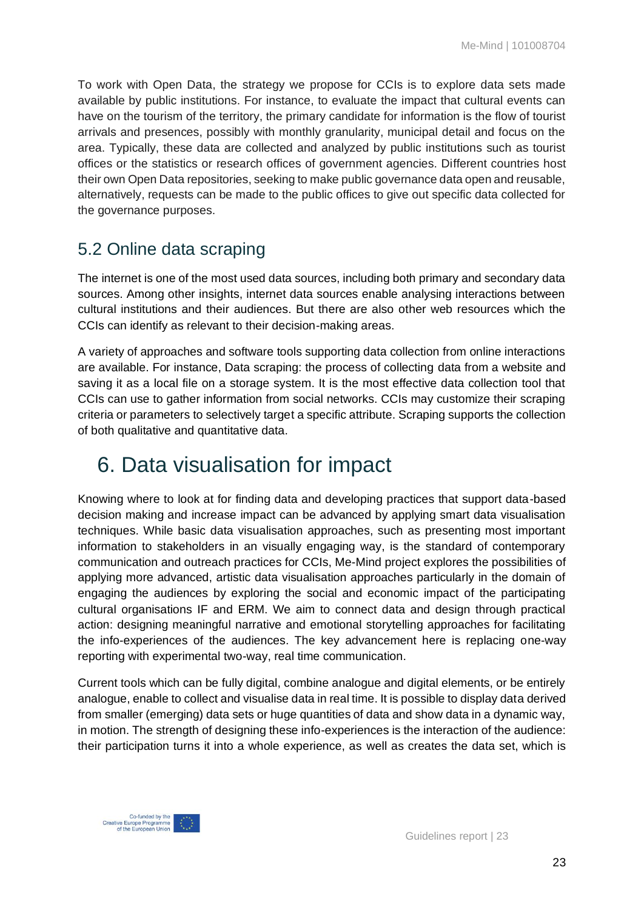To work with Open Data, the strategy we propose for CCIs is to explore data sets made available by public institutions. For instance, to evaluate the impact that cultural events can have on the tourism of the territory, the primary candidate for information is the flow of tourist arrivals and presences, possibly with monthly granularity, municipal detail and focus on the area. Typically, these data are collected and analyzed by public institutions such as tourist offices or the statistics or research offices of government agencies. Different countries host their own Open Data repositories, seeking to make public governance data open and reusable, alternatively, requests can be made to the public offices to give out specific data collected for the governance purposes.

### <span id="page-22-0"></span>5.2 Online data scraping

The internet is one of the most used data sources, including both primary and secondary data sources. Among other insights, internet data sources enable analysing interactions between cultural institutions and their audiences. But there are also other web resources which the CCIs can identify as relevant to their decision-making areas.

A variety of approaches and software tools supporting data collection from online interactions are available. For instance, Data scraping: the process of collecting data from a website and saving it as a local file on a storage system. It is the most effective data collection tool that CCIs can use to gather information from social networks. CCIs may customize their scraping criteria or parameters to selectively target a specific attribute. Scraping supports the collection of both qualitative and quantitative data.

# <span id="page-22-1"></span>6. Data visualisation for impact

Knowing where to look at for finding data and developing practices that support data-based decision making and increase impact can be advanced by applying smart data visualisation techniques. While basic data visualisation approaches, such as presenting most important information to stakeholders in an visually engaging way, is the standard of contemporary communication and outreach practices for CCIs, Me-Mind project explores the possibilities of applying more advanced, artistic data visualisation approaches particularly in the domain of engaging the audiences by exploring the social and economic impact of the participating cultural organisations IF and ERM. We aim to connect data and design through practical action: designing meaningful narrative and emotional storytelling approaches for facilitating the info-experiences of the audiences. The key advancement here is replacing one-way reporting with experimental two-way, real time communication.

Current tools which can be fully digital, combine analogue and digital elements, or be entirely analogue, enable to collect and visualise data in real time. It is possible to display data derived from smaller (emerging) data sets or huge quantities of data and show data in a dynamic way, in motion. The strength of designing these info-experiences is the interaction of the audience: their participation turns it into a whole experience, as well as creates the data set, which is

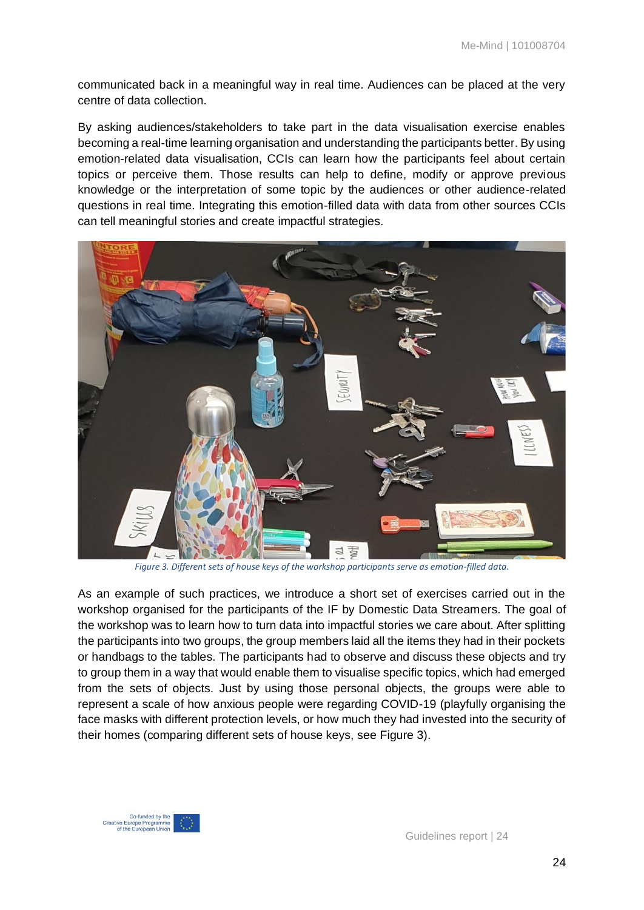communicated back in a meaningful way in real time. Audiences can be placed at the very centre of data collection.

By asking audiences/stakeholders to take part in the data visualisation exercise enables becoming a real-time learning organisation and understanding the participants better. By using emotion-related data visualisation, CCIs can learn how the participants feel about certain topics or perceive them. Those results can help to define, modify or approve previous knowledge or the interpretation of some topic by the audiences or other audience-related questions in real time. Integrating this emotion-filled data with data from other sources CCIs can tell meaningful stories and create impactful strategies.



*Figure 3. Different sets of house keys of the workshop participants serve as emotion-filled data.*

As an example of such practices, we introduce a short set of exercises carried out in the workshop organised for the participants of the IF by Domestic Data Streamers. The goal of the workshop was to learn how to turn data into impactful stories we care about. After splitting the participants into two groups, the group members laid all the items they had in their pockets or handbags to the tables. The participants had to observe and discuss these objects and try to group them in a way that would enable them to visualise specific topics, which had emerged from the sets of objects. Just by using those personal objects, the groups were able to represent a scale of how anxious people were regarding COVID-19 (playfully organising the face masks with different protection levels, or how much they had invested into the security of their homes (comparing different sets of house keys, see Figure 3).

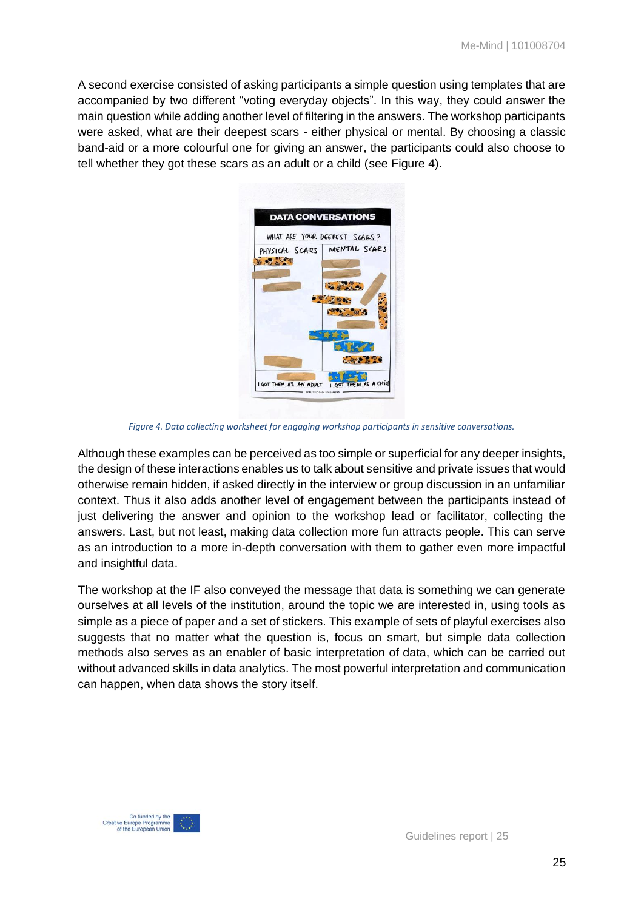A second exercise consisted of asking participants a simple question using templates that are accompanied by two different "voting everyday objects". In this way, they could answer the main question while adding another level of filtering in the answers. The workshop participants were asked, what are their deepest scars - either physical or mental. By choosing a classic band-aid or a more colourful one for giving an answer, the participants could also choose to tell whether they got these scars as an adult or a child (see Figure 4).

| WHAT ARE YOUR DEEPEST SCARS? |
|------------------------------|
| PHYSICAL SCARS MENTAL SCARS  |
|                              |
| <b>COMPAGNIA</b>             |
|                              |
|                              |
|                              |
|                              |
|                              |

*Figure 4. Data collecting worksheet for engaging workshop participants in sensitive conversations.*

Although these examples can be perceived as too simple or superficial for any deeper insights, the design of these interactions enables us to talk about sensitive and private issues that would otherwise remain hidden, if asked directly in the interview or group discussion in an unfamiliar context. Thus it also adds another level of engagement between the participants instead of just delivering the answer and opinion to the workshop lead or facilitator, collecting the answers. Last, but not least, making data collection more fun attracts people. This can serve as an introduction to a more in-depth conversation with them to gather even more impactful and insightful data.

The workshop at the IF also conveyed the message that data is something we can generate ourselves at all levels of the institution, around the topic we are interested in, using tools as simple as a piece of paper and a set of stickers. This example of sets of playful exercises also suggests that no matter what the question is, focus on smart, but simple data collection methods also serves as an enabler of basic interpretation of data, which can be carried out without advanced skills in data analytics. The most powerful interpretation and communication can happen, when data shows the story itself.

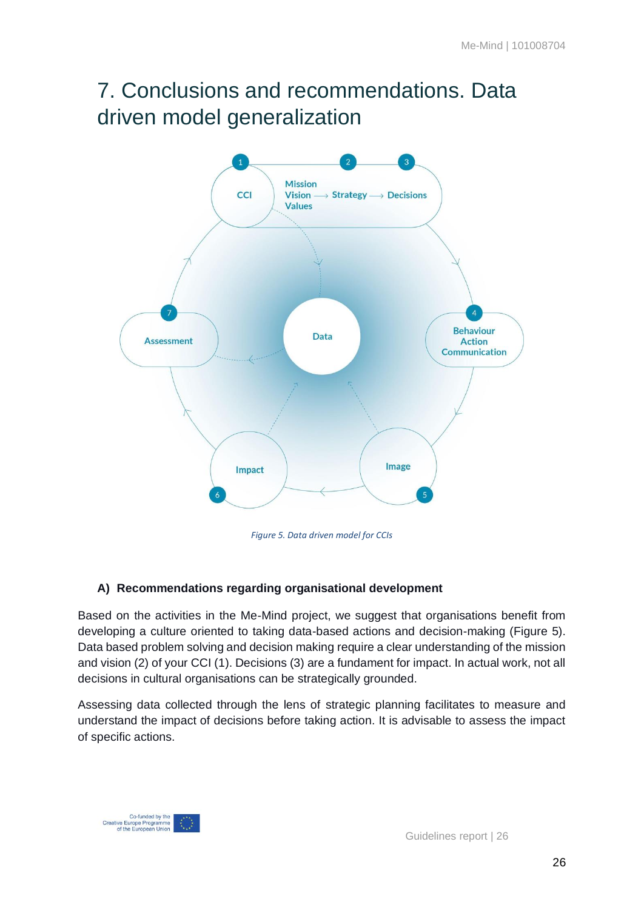# <span id="page-25-0"></span>7. Conclusions and recommendations. Data driven model generalization



*Figure 5. Data driven model for CCIs*

### **A) Recommendations regarding organisational development**

Based on the activities in the Me-Mind project, we suggest that organisations benefit from developing a culture oriented to taking data-based actions and decision-making (Figure 5). Data based problem solving and decision making require a clear understanding of the mission and vision (2) of your CCI (1). Decisions (3) are a fundament for impact. In actual work, not all decisions in cultural organisations can be strategically grounded.

Assessing data collected through the lens of strategic planning facilitates to measure and understand the impact of decisions before taking action. It is advisable to assess the impact of specific actions.

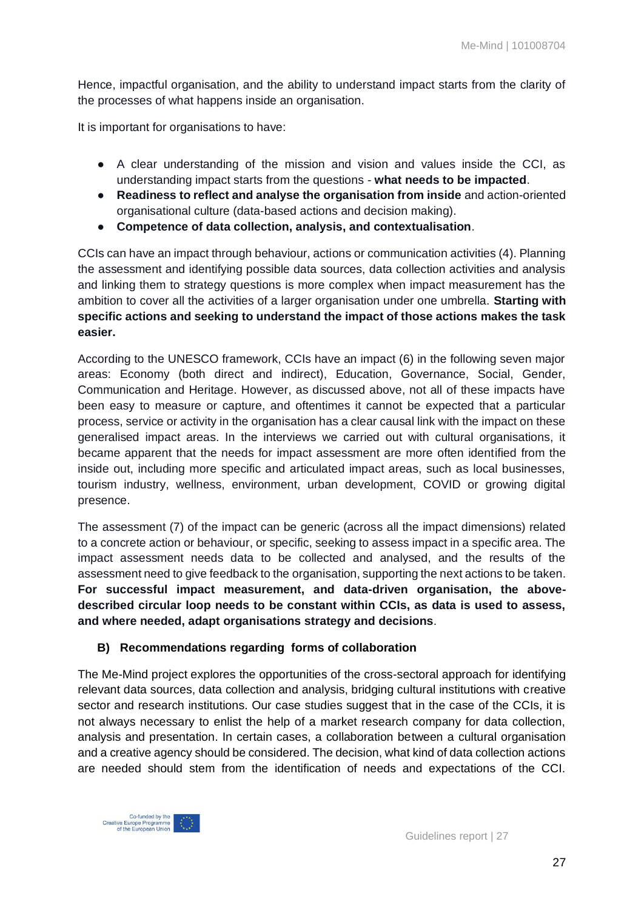Hence, impactful organisation, and the ability to understand impact starts from the clarity of the processes of what happens inside an organisation.

It is important for organisations to have:

- A clear understanding of the mission and vision and values inside the CCI, as understanding impact starts from the questions - **what needs to be impacted**.
- **Readiness to reflect and analyse the organisation from inside** and action-oriented organisational culture (data-based actions and decision making).
- **Competence of data collection, analysis, and contextualisation**.

CCIs can have an impact through behaviour, actions or communication activities (4). Planning the assessment and identifying possible data sources, data collection activities and analysis and linking them to strategy questions is more complex when impact measurement has the ambition to cover all the activities of a larger organisation under one umbrella. **Starting with specific actions and seeking to understand the impact of those actions makes the task easier.**

According to the UNESCO framework, CCIs have an impact (6) in the following seven major areas: Economy (both direct and indirect), Education, Governance, Social, Gender, Communication and Heritage. However, as discussed above, not all of these impacts have been easy to measure or capture, and oftentimes it cannot be expected that a particular process, service or activity in the organisation has a clear causal link with the impact on these generalised impact areas. In the interviews we carried out with cultural organisations, it became apparent that the needs for impact assessment are more often identified from the inside out, including more specific and articulated impact areas, such as local businesses, tourism industry, wellness, environment, urban development, COVID or growing digital presence.

The assessment (7) of the impact can be generic (across all the impact dimensions) related to a concrete action or behaviour, or specific, seeking to assess impact in a specific area. The impact assessment needs data to be collected and analysed, and the results of the assessment need to give feedback to the organisation, supporting the next actions to be taken. **For successful impact measurement, and data-driven organisation, the abovedescribed circular loop needs to be constant within CCIs, as data is used to assess, and where needed, adapt organisations strategy and decisions**.

#### **B) Recommendations regarding forms of collaboration**

The Me-Mind project explores the opportunities of the cross-sectoral approach for identifying relevant data sources, data collection and analysis, bridging cultural institutions with creative sector and research institutions. Our case studies suggest that in the case of the CCIs, it is not always necessary to enlist the help of a market research company for data collection, analysis and presentation. In certain cases, a collaboration between a cultural organisation and a creative agency should be considered. The decision, what kind of data collection actions are needed should stem from the identification of needs and expectations of the CCI.